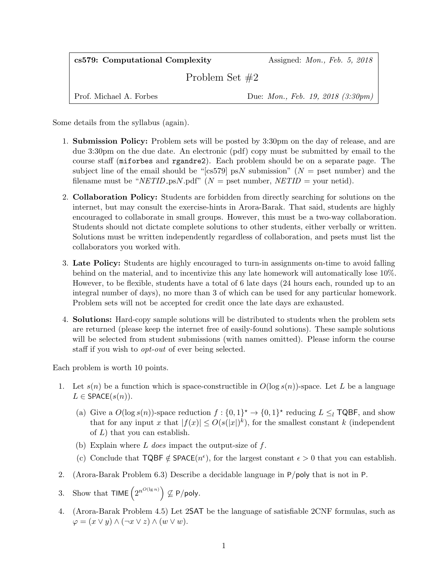| cs579: Computational Complexity | Assigned: <i>Mon.</i> , <i>Feb.</i> 5, 2018      |
|---------------------------------|--------------------------------------------------|
| Problem Set $#2$                |                                                  |
| Prof. Michael A. Forbes         | Due: <i>Mon.</i> , <i>Feb.</i> 19, 2018 (3:30pm) |

Some details from the syllabus (again).

- 1. Submission Policy: Problem sets will be posted by 3:30pm on the day of release, and are due 3:30pm on the due date. An electronic (pdf) copy must be submitted by email to the course staff (miforbes and rgandre2). Each problem should be on a separate page. The subject line of the email should be "[cs579] psN submission" ( $N =$  pset number) and the filename must be "NETID\_psN.pdf" ( $N =$  pset number, NETID = your netid).
- 2. Collaboration Policy: Students are forbidden from directly searching for solutions on the internet, but may consult the exercise-hints in Arora-Barak. That said, students are highly encouraged to collaborate in small groups. However, this must be a two-way collaboration. Students should not dictate complete solutions to other students, either verbally or written. Solutions must be written independently regardless of collaboration, and psets must list the collaborators you worked with.
- 3. Late Policy: Students are highly encouraged to turn-in assignments on-time to avoid falling behind on the material, and to incentivize this any late homework will automatically lose 10%. However, to be flexible, students have a total of 6 late days (24 hours each, rounded up to an integral number of days), no more than 3 of which can be used for any particular homework. Problem sets will not be accepted for credit once the late days are exhausted.
- 4. Solutions: Hard-copy sample solutions will be distributed to students when the problem sets are returned (please keep the internet free of easily-found solutions). These sample solutions will be selected from student submissions (with names omitted). Please inform the course staff if you wish to opt-out of ever being selected.

Each problem is worth 10 points.

- 1. Let  $s(n)$  be a function which is space-constructible in  $O(\log s(n))$ -space. Let L be a language  $L \in$  SPACE $(s(n))$ .
	- (a) Give a  $O(\log s(n))$ -space reduction  $f: \{0,1\}^* \to \{0,1\}^*$  reducing  $L \leq_l TQBF$ , and show that for any input x that  $|f(x)| \leq O(s(|x|)^k)$ , for the smallest constant k (independent of L) that you can establish.
	- (b) Explain where  $L$  does impact the output-size of  $f$ .
	- (c) Conclude that  $TQBF \notin SPACE(n^{\epsilon}),$  for the largest constant  $\epsilon > 0$  that you can establish.
- 2. (Arora-Barak Problem 6.3) Describe a decidable language in P/poly that is not in P.
- 3. Show that TIME  $(2^{n^{O(\lg n)}}) \nsubseteq P/\text{poly}.$
- 4. (Arora-Barak Problem 4.5) Let 2SAT be the language of satisfiable 2CNF formulas, such as  $\varphi = (x \vee y) \wedge (\neg x \vee z) \wedge (w \vee w).$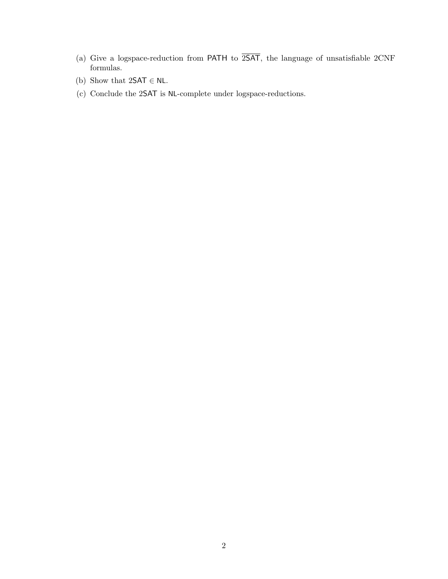- (a) Give a logspace-reduction from PATH to  $2SAT$ , the language of unsatisfiable  $2CNF$ formulas.
- (b) Show that  $2SAT \in NL$ .
- (c) Conclude the 2SAT is NL-complete under logspace-reductions.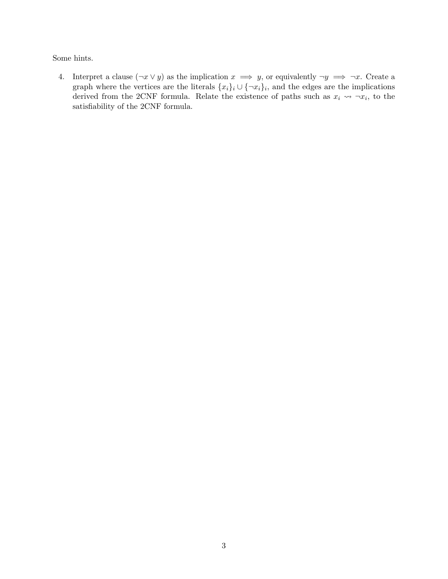Some hints.

4. Interpret a clause  $(\neg x \lor y)$  as the implication  $x \implies y$ , or equivalently  $\neg y \implies \neg x$ . Create a graph where the vertices are the literals  $\{x_i\}_i \cup \{\neg x_i\}_i$ , and the edges are the implications derived from the 2CNF formula. Relate the existence of paths such as  $x_i \rightarrow x_i$ , to the satisfiability of the 2CNF formula.